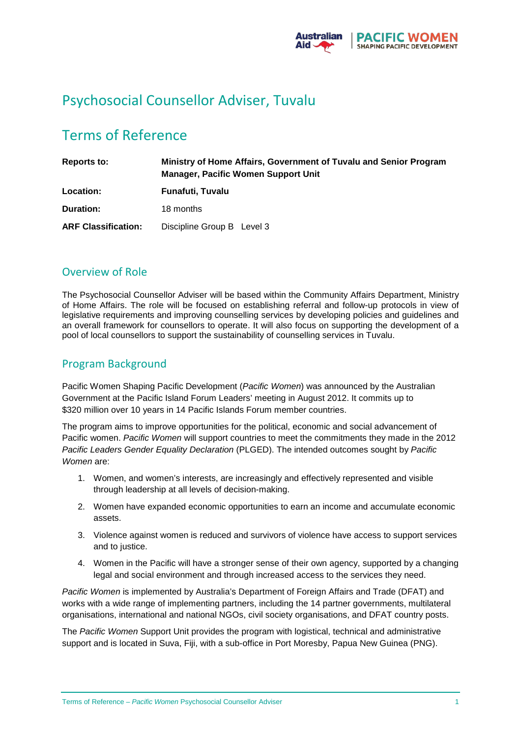

# Psychosocial Counsellor Adviser, Tuvalu

# Terms of Reference

| Reports to:                | Ministry of Home Affairs, Government of Tuvalu and Senior Program<br><b>Manager, Pacific Women Support Unit</b> |  |
|----------------------------|-----------------------------------------------------------------------------------------------------------------|--|
| Location:                  | Funafuti, Tuvalu                                                                                                |  |
| <b>Duration:</b>           | 18 months                                                                                                       |  |
| <b>ARF Classification:</b> | Discipline Group B Level 3                                                                                      |  |

## Overview of Role

The Psychosocial Counsellor Adviser will be based within the Community Affairs Department, Ministry of Home Affairs. The role will be focused on establishing referral and follow-up protocols in view of legislative requirements and improving counselling services by developing policies and guidelines and an overall framework for counsellors to operate. It will also focus on supporting the development of a pool of local counsellors to support the sustainability of counselling services in Tuvalu.

## Program Background

Pacific Women Shaping Pacific Development (*Pacific Women*) was announced by the Australian Government at the Pacific Island Forum Leaders' meeting in August 2012. It commits up to \$320 million over 10 years in 14 Pacific Islands Forum member countries.

The program aims to improve opportunities for the political, economic and social advancement of Pacific women. *Pacific Women* will support countries to meet the commitments they made in the 2012 *Pacific Leaders Gender Equality Declaration* (PLGED). The intended outcomes sought by *Pacific Women* are:

- 1. Women, and women's interests, are increasingly and effectively represented and visible through leadership at all levels of decision-making.
- 2. Women have expanded economic opportunities to earn an income and accumulate economic assets.
- 3. Violence against women is reduced and survivors of violence have access to support services and to justice.
- 4. Women in the Pacific will have a stronger sense of their own agency, supported by a changing legal and social environment and through increased access to the services they need.

*Pacific Women* is implemented by Australia's Department of Foreign Affairs and Trade (DFAT) and works with a wide range of implementing partners, including the 14 partner governments, multilateral organisations, international and national NGOs, civil society organisations, and DFAT country posts.

The *Pacific Women* Support Unit provides the program with logistical, technical and administrative support and is located in Suva, Fiji, with a sub-office in Port Moresby, Papua New Guinea (PNG).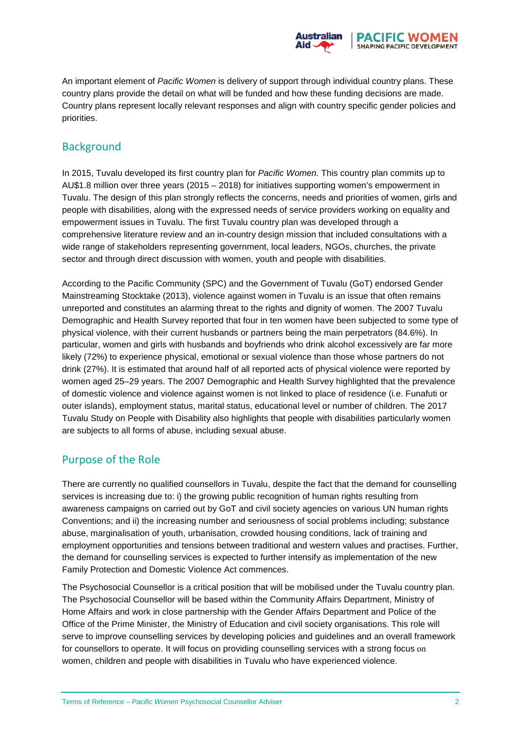

An important element of *Pacific Women* is delivery of support through individual country plans. These country plans provide the detail on what will be funded and how these funding decisions are made. Country plans represent locally relevant responses and align with country specific gender policies and priorities.

#### **Background**

In 2015, Tuvalu developed its first country plan for *Pacific Women.* This country plan commits up to AU\$1.8 million over three years (2015 – 2018) for initiatives supporting women's empowerment in Tuvalu. The design of this plan strongly reflects the concerns, needs and priorities of women, girls and people with disabilities, along with the expressed needs of service providers working on equality and empowerment issues in Tuvalu. The first Tuvalu country plan was developed through a comprehensive literature review and an in-country design mission that included consultations with a wide range of stakeholders representing government, local leaders, NGOs, churches, the private sector and through direct discussion with women, youth and people with disabilities.

According to the Pacific Community (SPC) and the Government of Tuvalu (GoT) endorsed Gender Mainstreaming Stocktake (2013), violence against women in Tuvalu is an issue that often remains unreported and constitutes an alarming threat to the rights and dignity of women. The 2007 Tuvalu Demographic and Health Survey reported that four in ten women have been subjected to some type of physical violence, with their current husbands or partners being the main perpetrators (84.6%). In particular, women and girls with husbands and boyfriends who drink alcohol excessively are far more likely (72%) to experience physical, emotional or sexual violence than those whose partners do not drink (27%). It is estimated that around half of all reported acts of physical violence were reported by women aged 25–29 years. The 2007 Demographic and Health Survey highlighted that the prevalence of domestic violence and violence against women is not linked to place of residence (i.e. Funafuti or outer islands), employment status, marital status, educational level or number of children. The 2017 Tuvalu Study on People with Disability also highlights that people with disabilities particularly women are subjects to all forms of abuse, including sexual abuse.

#### Purpose of the Role

There are currently no qualified counsellors in Tuvalu, despite the fact that the demand for counselling services is increasing due to: i) the growing public recognition of human rights resulting from awareness campaigns on carried out by GoT and civil society agencies on various UN human rights Conventions; and ii) the increasing number and seriousness of social problems including; substance abuse, marginalisation of youth, urbanisation, crowded housing conditions, lack of training and employment opportunities and tensions between traditional and western values and practises. Further, the demand for counselling services is expected to further intensify as implementation of the new Family Protection and Domestic Violence Act commences.

The Psychosocial Counsellor is a critical position that will be mobilised under the Tuvalu country plan. The Psychosocial Counsellor will be based within the Community Affairs Department, Ministry of Home Affairs and work in close partnership with the Gender Affairs Department and Police of the Office of the Prime Minister, the Ministry of Education and civil society organisations. This role will serve to improve counselling services by developing policies and guidelines and an overall framework for counsellors to operate. It will focus on providing counselling services with a strong focus on women, children and people with disabilities in Tuvalu who have experienced violence.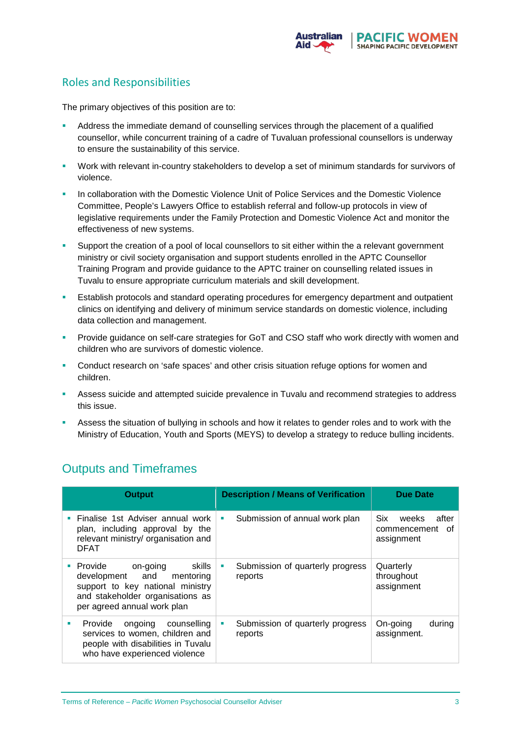

## Roles and Responsibilities

The primary objectives of this position are to:

- Address the immediate demand of counselling services through the placement of a qualified counsellor, while concurrent training of a cadre of Tuvaluan professional counsellors is underway to ensure the sustainability of this service.
- Work with relevant in-country stakeholders to develop a set of minimum standards for survivors of violence.
- In collaboration with the Domestic Violence Unit of Police Services and the Domestic Violence Committee, People's Lawyers Office to establish referral and follow-up protocols in view of legislative requirements under the Family Protection and Domestic Violence Act and monitor the effectiveness of new systems.
- Support the creation of a pool of local counsellors to sit either within the a relevant government ministry or civil society organisation and support students enrolled in the APTC Counsellor Training Program and provide guidance to the APTC trainer on counselling related issues in Tuvalu to ensure appropriate curriculum materials and skill development.
- Establish protocols and standard operating procedures for emergency department and outpatient clinics on identifying and delivery of minimum service standards on domestic violence, including data collection and management.
- **Provide guidance on self-care strategies for GoT and CSO staff who work directly with women and** children who are survivors of domestic violence.
- Conduct research on 'safe spaces' and other crisis situation refuge options for women and children.
- **Assess suicide and attempted suicide prevalence in Tuvalu and recommend strategies to address** this issue.
- Assess the situation of bullying in schools and how it relates to gender roles and to work with the Ministry of Education, Youth and Sports (MEYS) to develop a strategy to reduce bulling incidents.

| <b>Output</b>                                                                                                                                                                                    | <b>Description / Means of Verification</b>       | <b>Due Date</b>                                                  |
|--------------------------------------------------------------------------------------------------------------------------------------------------------------------------------------------------|--------------------------------------------------|------------------------------------------------------------------|
| Finalise 1st Adviser annual work<br>plan, including approval by the<br>relevant ministry/ organisation and<br><b>DFAT</b>                                                                        | Submission of annual work plan<br>ш              | <b>Six</b><br>after<br>weeks<br>οf<br>commencement<br>assignment |
| Provide on-going<br>skills<br>$\mathcal{L}_{\mathcal{A}}$<br>development and<br>mentoring<br>support to key national ministry<br>and stakeholder organisations as<br>per agreed annual work plan | Submission of quarterly progress<br>ш<br>reports | Quarterly<br>throughout<br>assignment                            |
| Provide<br>ongoing<br>counselling<br>٠<br>services to women, children and<br>people with disabilities in Tuvalu<br>who have experienced violence                                                 | Submission of quarterly progress<br>ш<br>reports | On-going<br>during<br>assignment.                                |

# Outputs and Timeframes